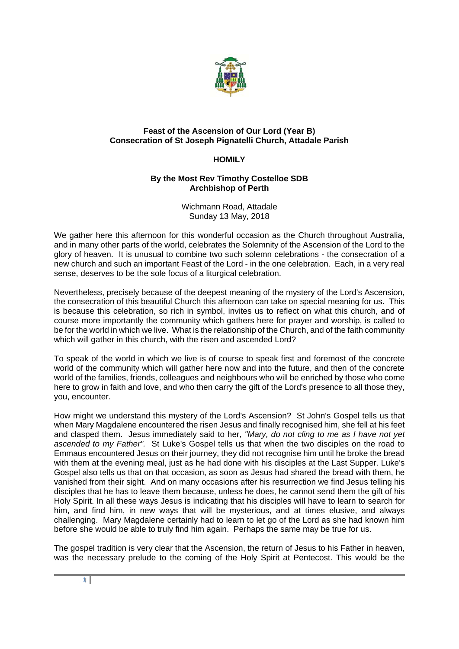

## **Feast of the Ascension of Our Lord (Year B) Consecration of St Joseph Pignatelli Church, Attadale Parish**

## **HOMILY**

## **By the Most Rev Timothy Costelloe SDB Archbishop of Perth**

Wichmann Road, Attadale Sunday 13 May, 2018

We gather here this afternoon for this wonderful occasion as the Church throughout Australia, and in many other parts of the world, celebrates the Solemnity of the Ascension of the Lord to the glory of heaven. It is unusual to combine two such solemn celebrations - the consecration of a new church and such an important Feast of the Lord - in the one celebration. Each, in a very real sense, deserves to be the sole focus of a liturgical celebration.

Nevertheless, precisely because of the deepest meaning of the mystery of the Lord's Ascension, the consecration of this beautiful Church this afternoon can take on special meaning for us. This is because this celebration, so rich in symbol, invites us to reflect on what this church, and of course more importantly the community which gathers here for prayer and worship, is called to be for the world in which we live. What is the relationship of the Church, and of the faith community which will gather in this church, with the risen and ascended Lord?

To speak of the world in which we live is of course to speak first and foremost of the concrete world of the community which will gather here now and into the future, and then of the concrete world of the families, friends, colleagues and neighbours who will be enriched by those who come here to grow in faith and love, and who then carry the gift of the Lord's presence to all those they, you, encounter.

How might we understand this mystery of the Lord's Ascension? St John's Gospel tells us that when Mary Magdalene encountered the risen Jesus and finally recognised him, she fell at his feet and clasped them. Jesus immediately said to her, *"Mary, do not cling to me as I have not yet ascended to my Father".* St Luke's Gospel tells us that when the two disciples on the road to Emmaus encountered Jesus on their journey, they did not recognise him until he broke the bread with them at the evening meal, just as he had done with his disciples at the Last Supper. Luke's Gospel also tells us that on that occasion, as soon as Jesus had shared the bread with them, he vanished from their sight. And on many occasions after his resurrection we find Jesus telling his disciples that he has to leave them because, unless he does, he cannot send them the gift of his Holy Spirit. In all these ways Jesus is indicating that his disciples will have to learn to search for him, and find him, in new ways that will be mysterious, and at times elusive, and always challenging. Mary Magdalene certainly had to learn to let go of the Lord as she had known him before she would be able to truly find him again. Perhaps the same may be true for us.

The gospel tradition is very clear that the Ascension, the return of Jesus to his Father in heaven, was the necessary prelude to the coming of the Holy Spirit at Pentecost. This would be the